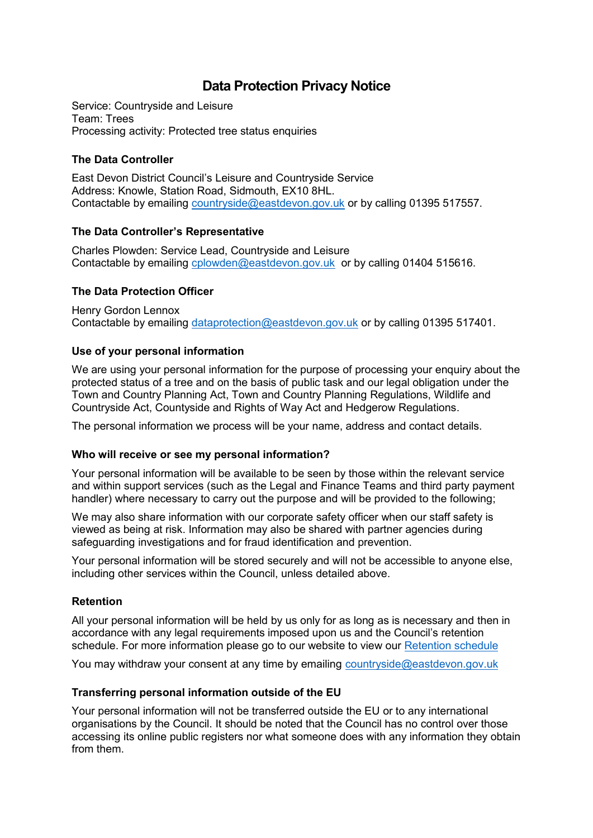# **Data Protection Privacy Notice**

Service: Countryside and Leisure Team: Trees Processing activity: Protected tree status enquiries

## **The Data Controller**

East Devon District Council's Leisure and Countryside Service Address: Knowle, Station Road, Sidmouth, EX10 8HL. Contactable by emailing [countryside@eastdevon.gov.uk](mailto:countryside@eastdevon.gov.uk) or by calling 01395 517557.

## **The Data Controller's Representative**

Charles Plowden: Service Lead, Countryside and Leisure Contactable by emailing [cplowden@eastdevon.gov.uk](mailto:cplowden@eastdevon.gov.uk) or by calling 01404 515616.

## **The Data Protection Officer**

Henry Gordon Lennox Contactable by emailing [dataprotection@eastdevon.gov.uk](mailto:dataprotection@eastdevon.gov.uk) or by calling 01395 517401.

## **Use of your personal information**

We are using your personal information for the purpose of processing your enquiry about the protected status of a tree and on the basis of public task and our legal obligation under the Town and Country Planning Act, Town and Country Planning Regulations, Wildlife and Countryside Act, Countyside and Rights of Way Act and Hedgerow Regulations.

The personal information we process will be your name, address and contact details.

#### **Who will receive or see my personal information?**

Your personal information will be available to be seen by those within the relevant service and within support services (such as the Legal and Finance Teams and third party payment handler) where necessary to carry out the purpose and will be provided to the following;

We may also share information with our corporate safety officer when our staff safety is viewed as being at risk. Information may also be shared with partner agencies during safeguarding investigations and for fraud identification and prevention.

Your personal information will be stored securely and will not be accessible to anyone else, including other services within the Council, unless detailed above.

## **Retention**

All your personal information will be held by us only for as long as is necessary and then in accordance with any legal requirements imposed upon us and the Council's retention schedule. For more information please go to our website to view our [Retention schedule](http://eastdevon.gov.uk/access-to-information/data-protection/document-retention-schedules/)

You may withdraw your consent at any time by emailing [countryside@eastdevon.gov.uk](mailto:countryside@eastdevon.gov.uk)

#### **Transferring personal information outside of the EU**

Your personal information will not be transferred outside the EU or to any international organisations by the Council. It should be noted that the Council has no control over those accessing its online public registers nor what someone does with any information they obtain from them.